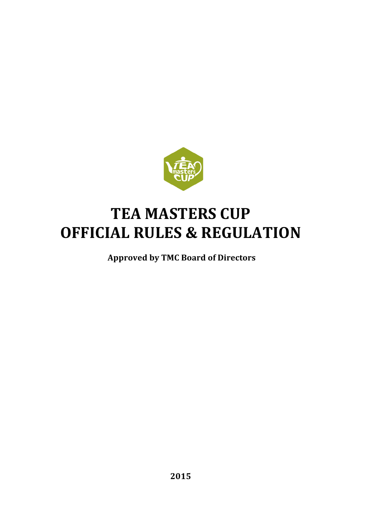

# **TEA MASTERS CUP OFFICIAL RULES & REGULATION**

**Approved by TMC Board of Directors**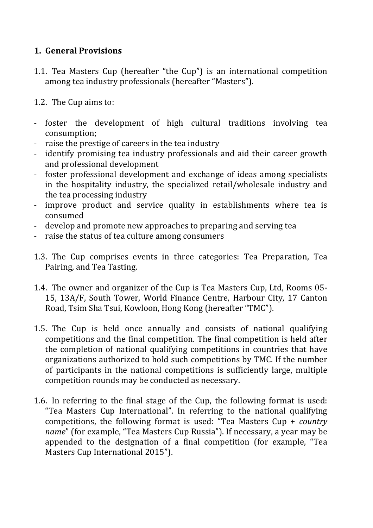# **1. General Provisions**

1.1. Tea Masters Cup (hereafter "the Cup") is an international competition among tea industry professionals (hereafter "Masters").

1.2. The Cup aims to:

- foster the development of high cultural traditions involving tea consumption;
- raise the prestige of careers in the tea industry
- identify promising tea industry professionals and aid their career growth and professional development
- foster professional development and exchange of ideas among specialists in the hospitality industry, the specialized retail/wholesale industry and the tea processing industry
- improve product and service quality in establishments where tea is consumed
- develop and promote new approaches to preparing and serving tea
- raise the status of tea culture among consumers
- 1.3. The Cup comprises events in three categories: Tea Preparation, Tea Pairing, and Tea Tasting.
- 1.4. The owner and organizer of the Cup is Tea Masters Cup, Ltd, Rooms 05-15, 13A/F, South Tower, World Finance Centre, Harbour City, 17 Canton Road, Tsim Sha Tsui, Kowloon, Hong Kong (hereafter "TMC").
- 1.5. The Cup is held once annually and consists of national qualifying competitions and the final competition. The final competition is held after the completion of national qualifying competitions in countries that have organizations authorized to hold such competitions by TMC. If the number of participants in the national competitions is sufficiently large, multiple competition rounds may be conducted as necessary.
- 1.6. In referring to the final stage of the Cup, the following format is used: "Tea Masters Cup International". In referring to the national qualifying competitions, the following format is used: "Tea Masters Cup + *country name*" (for example, "Tea Masters Cup Russia"). If necessary, a year may be appended to the designation of a final competition (for example, "Tea Masters Cup International 2015").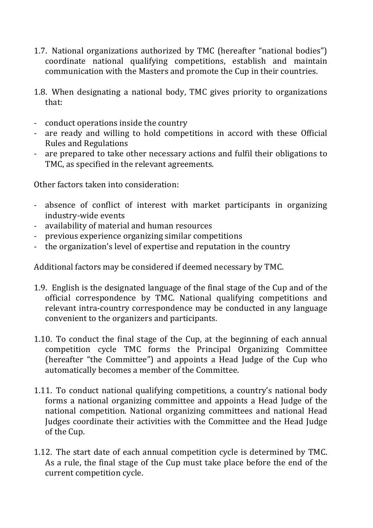- 1.7. National organizations authorized by TMC (hereafter "national bodies") coordinate national qualifying competitions, establish and maintain communication with the Masters and promote the Cup in their countries.
- 1.8. When designating a national body, TMC gives priority to organizations that:
- conduct operations inside the country
- are ready and willing to hold competitions in accord with these Official Rules and Regulations
- are prepared to take other necessary actions and fulfil their obligations to TMC, as specified in the relevant agreements.

Other factors taken into consideration:

- absence of conflict of interest with market participants in organizing industry-wide events
- availability of material and human resources
- previous experience organizing similar competitions
- the organization's level of expertise and reputation in the country

Additional factors may be considered if deemed necessary by TMC.

- 1.9. English is the designated language of the final stage of the Cup and of the official correspondence by TMC. National qualifying competitions and relevant intra-country correspondence may be conducted in any language convenient to the organizers and participants.
- 1.10. To conduct the final stage of the Cup, at the beginning of each annual competition cycle TMC forms the Principal Organizing Committee (hereafter "the Committee") and appoints a Head Judge of the Cup who automatically becomes a member of the Committee.
- 1.11. To conduct national qualifying competitions, a country's national body forms a national organizing committee and appoints a Head Judge of the national competition. National organizing committees and national Head Judges coordinate their activities with the Committee and the Head Judge of the Cup.
- 1.12. The start date of each annual competition cycle is determined by TMC. As a rule, the final stage of the Cup must take place before the end of the current competition cycle.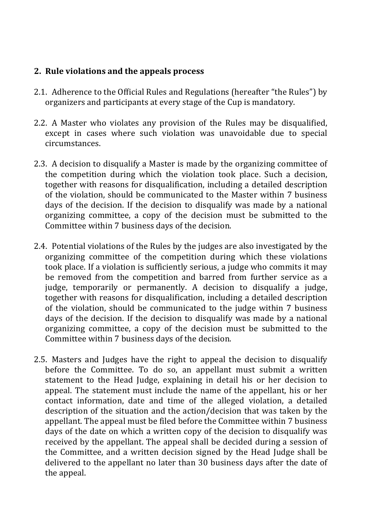#### **2.** Rule violations and the appeals process

- 2.1. Adherence to the Official Rules and Regulations (hereafter "the Rules") by organizers and participants at every stage of the Cup is mandatory.
- 2.2. A Master who violates any provision of the Rules may be disqualified, except in cases where such violation was unavoidable due to special circumstances.
- 2.3. A decision to disqualify a Master is made by the organizing committee of the competition during which the violation took place. Such a decision, together with reasons for disqualification, including a detailed description of the violation, should be communicated to the Master within 7 business days of the decision. If the decision to disqualify was made by a national organizing committee, a copy of the decision must be submitted to the Committee within 7 business days of the decision.
- 2.4. Potential violations of the Rules by the judges are also investigated by the organizing committee of the competition during which these violations took place. If a violation is sufficiently serious, a judge who commits it may be removed from the competition and barred from further service as a judge, temporarily or permanently. A decision to disqualify a judge, together with reasons for disqualification, including a detailed description of the violation, should be communicated to the judge within 7 business days of the decision. If the decision to disqualify was made by a national organizing committee, a copy of the decision must be submitted to the Committee within 7 business days of the decision.
- 2.5. Masters and Judges have the right to appeal the decision to disqualify before the Committee. To do so, an appellant must submit a written statement to the Head Judge, explaining in detail his or her decision to appeal. The statement must include the name of the appellant, his or her contact information, date and time of the alleged violation, a detailed description of the situation and the action/decision that was taken by the appellant. The appeal must be filed before the Committee within 7 business days of the date on which a written copy of the decision to disqualify was received by the appellant. The appeal shall be decided during a session of the Committee, and a written decision signed by the Head Judge shall be delivered to the appellant no later than 30 business days after the date of the appeal.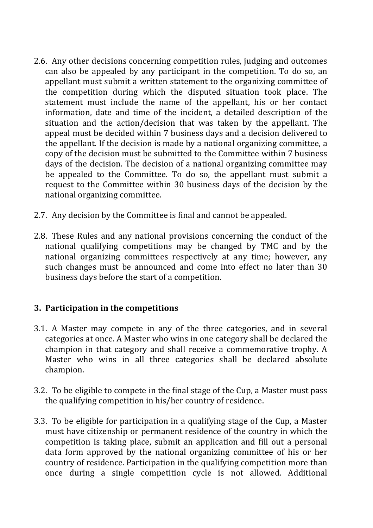- 2.6. Any other decisions concerning competition rules, judging and outcomes can also be appealed by any participant in the competition. To do so, an appellant must submit a written statement to the organizing committee of the competition during which the disputed situation took place. The statement must include the name of the appellant, his or her contact information, date and time of the incident, a detailed description of the situation and the action/decision that was taken by the appellant. The appeal must be decided within 7 business days and a decision delivered to the appellant. If the decision is made by a national organizing committee, a copy of the decision must be submitted to the Committee within 7 business days of the decision. The decision of a national organizing committee may be appealed to the Committee. To do so, the appellant must submit a request to the Committee within 30 business days of the decision by the national organizing committee.
- 2.7. Any decision by the Committee is final and cannot be appealed.
- 2.8. These Rules and any national provisions concerning the conduct of the national qualifying competitions may be changed by TMC and by the national organizing committees respectively at any time; however, any such changes must be announced and come into effect no later than 30 business days before the start of a competition.

### **3.** Participation in the competitions

- 3.1. A Master may compete in any of the three categories, and in several categories at once. A Master who wins in one category shall be declared the champion in that category and shall receive a commemorative trophy. A Master who wins in all three categories shall be declared absolute champion.
- 3.2. To be eligible to compete in the final stage of the Cup, a Master must pass the qualifying competition in his/her country of residence.
- 3.3. To be eligible for participation in a qualifying stage of the Cup, a Master must have citizenship or permanent residence of the country in which the competition is taking place, submit an application and fill out a personal data form approved by the national organizing committee of his or her country of residence. Participation in the qualifying competition more than once during a single competition cycle is not allowed. Additional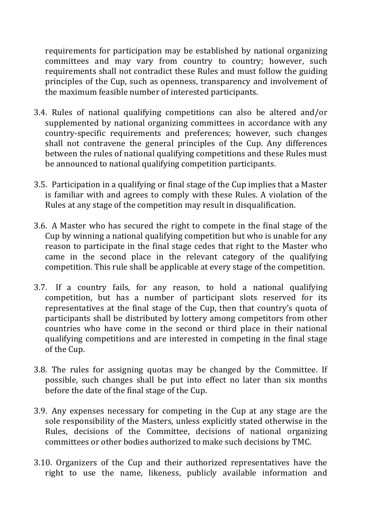requirements for participation may be established by national organizing committees and may vary from country to country; however, such requirements shall not contradict these Rules and must follow the guiding principles of the Cup, such as openness, transparency and involvement of the maximum feasible number of interested participants.

- 3.4. Rules of national qualifying competitions can also be altered and/or supplemented by national organizing committees in accordance with any country-specific requirements and preferences; however, such changes shall not contravene the general principles of the Cup. Any differences between the rules of national qualifying competitions and these Rules must be announced to national qualifying competition participants.
- 3.5. Participation in a qualifying or final stage of the Cup implies that a Master is familiar with and agrees to comply with these Rules. A violation of the Rules at any stage of the competition may result in disqualification.
- 3.6. A Master who has secured the right to compete in the final stage of the Cup by winning a national qualifying competition but who is unable for any reason to participate in the final stage cedes that right to the Master who came in the second place in the relevant category of the qualifying competition. This rule shall be applicable at every stage of the competition.
- 3.7. If a country fails, for any reason, to hold a national qualifying competition, but has a number of participant slots reserved for its representatives at the final stage of the Cup, then that country's quota of participants shall be distributed by lottery among competitors from other countries who have come in the second or third place in their national qualifying competitions and are interested in competing in the final stage of the Cup.
- 3.8. The rules for assigning quotas may be changed by the Committee. If possible, such changes shall be put into effect no later than six months before the date of the final stage of the Cup.
- 3.9. Any expenses necessary for competing in the Cup at any stage are the sole responsibility of the Masters, unless explicitly stated otherwise in the Rules, decisions of the Committee, decisions of national organizing committees or other bodies authorized to make such decisions by TMC.
- 3.10. Organizers of the Cup and their authorized representatives have the right to use the name, likeness, publicly available information and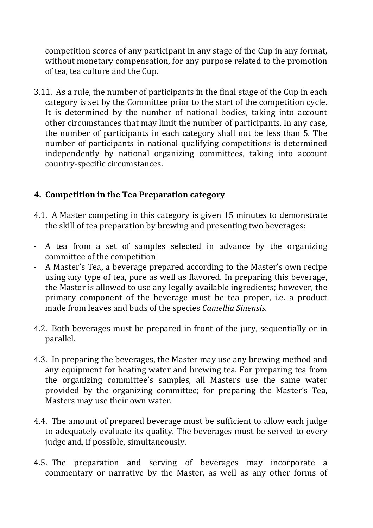competition scores of any participant in any stage of the Cup in any format, without monetary compensation, for any purpose related to the promotion of tea, tea culture and the Cup.

3.11. As a rule, the number of participants in the final stage of the Cup in each category is set by the Committee prior to the start of the competition cycle. It is determined by the number of national bodies, taking into account other circumstances that may limit the number of participants. In any case, the number of participants in each category shall not be less than 5. The number of participants in national qualifying competitions is determined independently by national organizing committees, taking into account country-specific circumstances.

# **4. Competition in the Tea Preparation category**

- 4.1. A Master competing in this category is given 15 minutes to demonstrate the skill of tea preparation by brewing and presenting two beverages:
- A tea from a set of samples selected in advance by the organizing committee of the competition
- A Master's Tea, a beverage prepared according to the Master's own recipe using any type of tea, pure as well as flavored. In preparing this beverage, the Master is allowed to use any legally available ingredients; however, the primary component of the beverage must be tea proper, *i.e.* a product made from leaves and buds of the species *Camellia Sinensis*.
- 4.2. Both beverages must be prepared in front of the jury, sequentially or in parallel.
- 4.3. In preparing the beverages, the Master may use any brewing method and any equipment for heating water and brewing tea. For preparing tea from the organizing committee's samples, all Masters use the same water provided by the organizing committee; for preparing the Master's Tea, Masters may use their own water.
- 4.4. The amount of prepared beverage must be sufficient to allow each judge to adequately evaluate its quality. The beverages must be served to every judge and, if possible, simultaneously.
- 4.5. The preparation and serving of beverages may incorporate a commentary or narrative by the Master, as well as any other forms of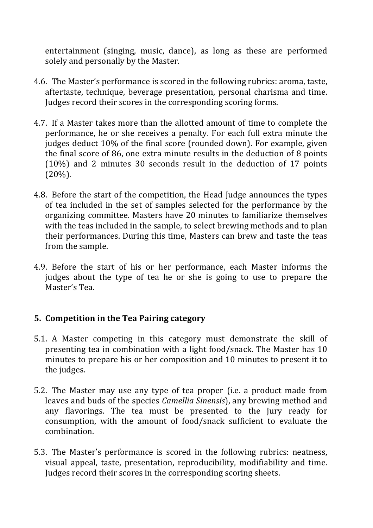entertainment (singing, music, dance), as long as these are performed solely and personally by the Master.

- 4.6. The Master's performance is scored in the following rubrics: aroma, taste, aftertaste, technique, beverage presentation, personal charisma and time. Judges record their scores in the corresponding scoring forms.
- 4.7. If a Master takes more than the allotted amount of time to complete the performance, he or she receives a penalty. For each full extra minute the judges deduct 10% of the final score (rounded down). For example, given the final score of 86, one extra minute results in the deduction of 8 points  $(10\%)$  and 2 minutes 30 seconds result in the deduction of 17 points  $(20\%)$ .
- 4.8. Before the start of the competition, the Head Judge announces the types of tea included in the set of samples selected for the performance by the organizing committee. Masters have 20 minutes to familiarize themselves with the teas included in the sample, to select brewing methods and to plan their performances. During this time, Masters can brew and taste the teas from the sample.
- 4.9. Before the start of his or her performance, each Master informs the judges about the type of tea he or she is going to use to prepare the Master's Tea.

### **5. Competition in the Tea Pairing category**

- 5.1. A Master competing in this category must demonstrate the skill of presenting tea in combination with a light food/snack. The Master has 10 minutes to prepare his or her composition and 10 minutes to present it to the judges.
- 5.2. The Master may use any type of tea proper (i.e. a product made from leaves and buds of the species *Camellia Sinensis*), any brewing method and any flavorings. The tea must be presented to the jury ready for consumption, with the amount of food/snack sufficient to evaluate the combination.
- 5.3. The Master's performance is scored in the following rubrics: neatness, visual appeal, taste, presentation, reproducibility, modifiability and time. Judges record their scores in the corresponding scoring sheets.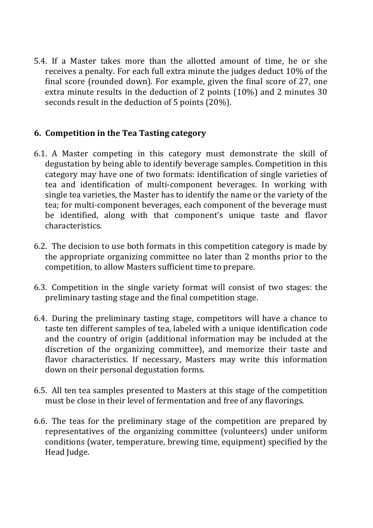5.4. If a Master takes more than the allotted amount of time, he or she receives a penalty. For each full extra minute the judges deduct 10% of the final score (rounded down). For example, given the final score of 27, one extra minute results in the deduction of 2 points  $(10\%)$  and 2 minutes 30 seconds result in the deduction of 5 points  $(20\%)$ .

### **6. Competition in the Tea Tasting category**

- 6.1. A Master competing in this category must demonstrate the skill of degustation by being able to identify beverage samples. Competition in this category may have one of two formats: identification of single varieties of tea and identification of multi-component beverages. In working with single tea varieties, the Master has to identify the name or the variety of the tea; for multi-component beverages, each component of the beverage must be identified, along with that component's unique taste and flavor characteristics.
- 6.2. The decision to use both formats in this competition category is made by the appropriate organizing committee no later than 2 months prior to the competition, to allow Masters sufficient time to prepare.
- 6.3. Competition in the single variety format will consist of two stages: the preliminary tasting stage and the final competition stage.
- 6.4. During the preliminary tasting stage, competitors will have a chance to taste ten different samples of tea, labeled with a unique identification code and the country of origin (additional information may be included at the discretion of the organizing committee), and memorize their taste and flavor characteristics. If necessary, Masters may write this information down on their personal degustation forms.
- 6.5. All ten tea samples presented to Masters at this stage of the competition must be close in their level of fermentation and free of any flavorings.
- 6.6. The teas for the preliminary stage of the competition are prepared by representatives of the organizing committee (volunteers) under uniform conditions (water, temperature, brewing time, equipment) specified by the Head Judge.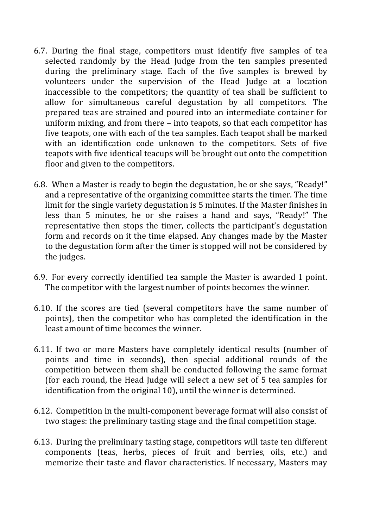- 6.7. During the final stage, competitors must identify five samples of tea selected randomly by the Head Judge from the ten samples presented during the preliminary stage. Each of the five samples is brewed by volunteers under the supervision of the Head Judge at a location inaccessible to the competitors; the quantity of tea shall be sufficient to allow for simultaneous careful degustation by all competitors. The prepared teas are strained and poured into an intermediate container for uniform mixing, and from there  $-$  into teapots, so that each competitor has five teapots, one with each of the tea samples. Each teapot shall be marked with an identification code unknown to the competitors. Sets of five teapots with five identical teacups will be brought out onto the competition floor and given to the competitors.
- 6.8. When a Master is ready to begin the degustation, he or she says, "Ready!" and a representative of the organizing committee starts the timer. The time limit for the single variety degustation is 5 minutes. If the Master finishes in less than 5 minutes, he or she raises a hand and says, "Ready!" The representative then stops the timer, collects the participant's degustation form and records on it the time elapsed. Any changes made by the Master to the degustation form after the timer is stopped will not be considered by the judges.
- 6.9. For every correctly identified tea sample the Master is awarded 1 point. The competitor with the largest number of points becomes the winner.
- 6.10. If the scores are tied (several competitors have the same number of points), then the competitor who has completed the identification in the least amount of time becomes the winner.
- 6.11. If two or more Masters have completely identical results (number of points and time in seconds), then special additional rounds of the competition between them shall be conducted following the same format (for each round, the Head Judge will select a new set of 5 tea samples for identification from the original 10), until the winner is determined.
- 6.12. Competition in the multi-component beverage format will also consist of two stages: the preliminary tasting stage and the final competition stage.
- 6.13. During the preliminary tasting stage, competitors will taste ten different components (teas, herbs, pieces of fruit and berries, oils, etc.) and memorize their taste and flavor characteristics. If necessary, Masters may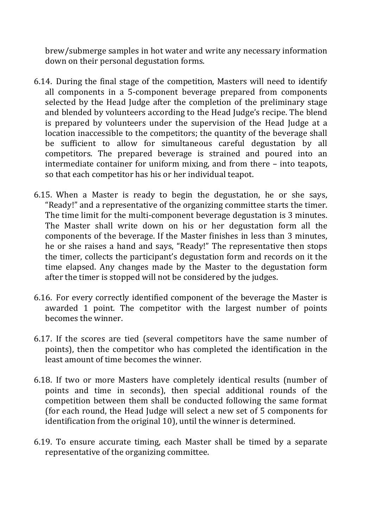brew/submerge samples in hot water and write any necessary information down on their personal degustation forms.

- 6.14. During the final stage of the competition, Masters will need to identify all components in a 5-component beverage prepared from components selected by the Head Judge after the completion of the preliminary stage and blended by volunteers according to the Head Judge's recipe. The blend is prepared by volunteers under the supervision of the Head Judge at a location inaccessible to the competitors; the quantity of the beverage shall be sufficient to allow for simultaneous careful degustation by all competitors. The prepared beverage is strained and poured into an intermediate container for uniform mixing, and from there  $-$  into teapots, so that each competitor has his or her individual teapot.
- 6.15. When a Master is ready to begin the degustation, he or she says, "Ready!" and a representative of the organizing committee starts the timer. The time limit for the multi-component beverage degustation is 3 minutes. The Master shall write down on his or her degustation form all the components of the beverage. If the Master finishes in less than 3 minutes, he or she raises a hand and says, "Ready!" The representative then stops the timer, collects the participant's degustation form and records on it the time elapsed. Any changes made by the Master to the degustation form after the timer is stopped will not be considered by the judges.
- 6.16. For every correctly identified component of the beverage the Master is awarded 1 point. The competitor with the largest number of points becomes the winner.
- 6.17. If the scores are tied (several competitors have the same number of points), then the competitor who has completed the identification in the least amount of time becomes the winner.
- 6.18. If two or more Masters have completely identical results (number of points and time in seconds), then special additional rounds of the competition between them shall be conducted following the same format (for each round, the Head Judge will select a new set of 5 components for identification from the original 10), until the winner is determined.
- 6.19. To ensure accurate timing, each Master shall be timed by a separate representative of the organizing committee.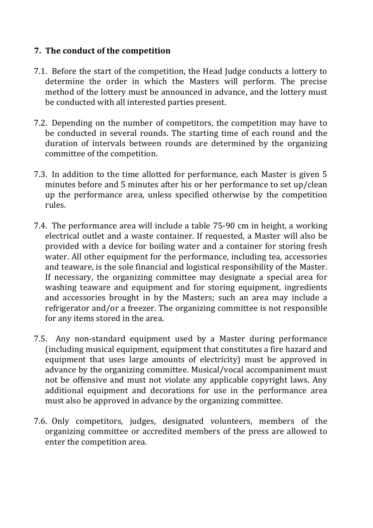## **7.** The conduct of the competition

- 7.1. Before the start of the competition, the Head Judge conducts a lottery to determine the order in which the Masters will perform. The precise method of the lottery must be announced in advance, and the lottery must be conducted with all interested parties present.
- 7.2. Depending on the number of competitors, the competition may have to be conducted in several rounds. The starting time of each round and the duration of intervals between rounds are determined by the organizing committee of the competition.
- 7.3. In addition to the time allotted for performance, each Master is given 5 minutes before and 5 minutes after his or her performance to set up/clean up the performance area, unless specified otherwise by the competition rules.
- 7.4. The performance area will include a table 75-90 cm in height, a working electrical outlet and a waste container. If requested, a Master will also be provided with a device for boiling water and a container for storing fresh water. All other equipment for the performance, including tea, accessories and teaware, is the sole financial and logistical responsibility of the Master. If necessary, the organizing committee may designate a special area for washing teaware and equipment and for storing equipment, ingredients and accessories brought in by the Masters; such an area may include a refrigerator and/or a freezer. The organizing committee is not responsible for any items stored in the area.
- 7.5. Any non-standard equipment used by a Master during performance (including musical equipment, equipment that constitutes a fire hazard and equipment that uses large amounts of electricity) must be approved in advance by the organizing committee. Musical/vocal accompaniment must not be offensive and must not violate any applicable copyright laws. Any additional equipment and decorations for use in the performance area must also be approved in advance by the organizing committee.
- 7.6. Only competitors, judges, designated volunteers, members of the organizing committee or accredited members of the press are allowed to enter the competition area.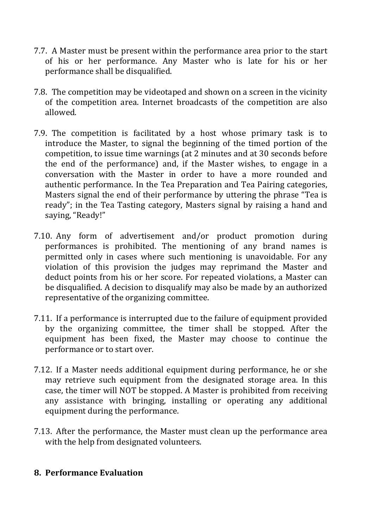- 7.7. A Master must be present within the performance area prior to the start of his or her performance. Any Master who is late for his or her performance shall be disqualified.
- 7.8. The competition may be videotaped and shown on a screen in the vicinity of the competition area. Internet broadcasts of the competition are also allowed.
- 7.9. The competition is facilitated by a host whose primary task is to introduce the Master, to signal the beginning of the timed portion of the competition, to issue time warnings (at 2 minutes and at 30 seconds before the end of the performance) and, if the Master wishes, to engage in a conversation with the Master in order to have a more rounded and authentic performance. In the Tea Preparation and Tea Pairing categories, Masters signal the end of their performance by uttering the phrase "Tea is ready"; in the Tea Tasting category, Masters signal by raising a hand and saying, "Ready!"
- 7.10. Any form of advertisement and/or product promotion during performances is prohibited. The mentioning of any brand names is permitted only in cases where such mentioning is unavoidable. For any violation of this provision the judges may reprimand the Master and deduct points from his or her score. For repeated violations, a Master can be disqualified. A decision to disqualify may also be made by an authorized representative of the organizing committee.
- 7.11. If a performance is interrupted due to the failure of equipment provided by the organizing committee, the timer shall be stopped. After the equipment has been fixed, the Master may choose to continue the performance or to start over.
- 7.12. If a Master needs additional equipment during performance, he or she may retrieve such equipment from the designated storage area. In this case, the timer will NOT be stopped. A Master is prohibited from receiving any assistance with bringing, installing or operating any additional equipment during the performance.
- 7.13. After the performance, the Master must clean up the performance area with the help from designated volunteers.

#### **8. Performance Evaluation**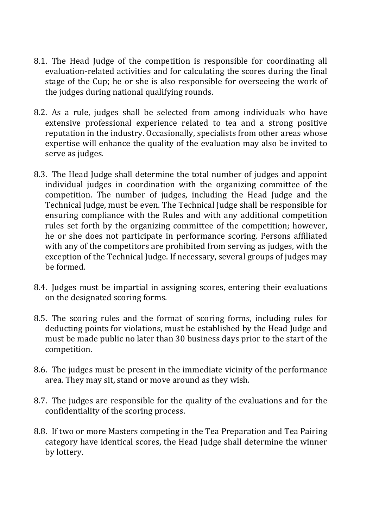- 8.1. The Head Judge of the competition is responsible for coordinating all evaluation-related activities and for calculating the scores during the final stage of the Cup; he or she is also responsible for overseeing the work of the judges during national qualifying rounds.
- 8.2. As a rule, judges shall be selected from among individuals who have extensive professional experience related to tea and a strong positive reputation in the industry. Occasionally, specialists from other areas whose expertise will enhance the quality of the evaluation may also be invited to serve as judges.
- 8.3. The Head Judge shall determine the total number of judges and appoint individual judges in coordination with the organizing committee of the competition. The number of judges, including the Head Judge and the Technical Judge, must be even. The Technical Judge shall be responsible for ensuring compliance with the Rules and with any additional competition rules set forth by the organizing committee of the competition; however, he or she does not participate in performance scoring. Persons affiliated with any of the competitors are prohibited from serving as judges, with the exception of the Technical Judge. If necessary, several groups of judges may be formed.
- 8.4. Judges must be impartial in assigning scores, entering their evaluations on the designated scoring forms.
- 8.5. The scoring rules and the format of scoring forms, including rules for deducting points for violations, must be established by the Head Judge and must be made public no later than 30 business days prior to the start of the competition.
- 8.6. The judges must be present in the immediate vicinity of the performance area. They may sit, stand or move around as they wish.
- 8.7. The judges are responsible for the quality of the evaluations and for the confidentiality of the scoring process.
- 8.8. If two or more Masters competing in the Tea Preparation and Tea Pairing category have identical scores, the Head Judge shall determine the winner by lottery.